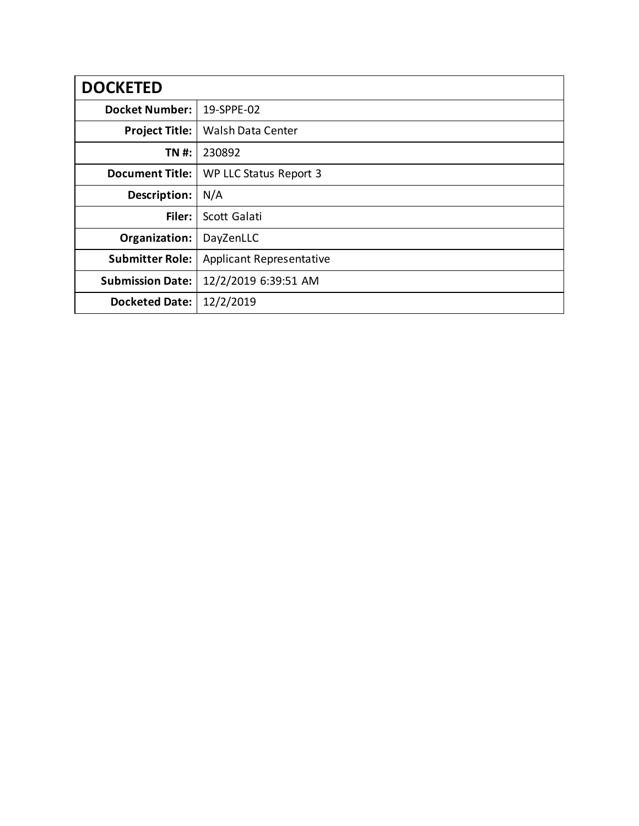| <b>DOCKETED</b>         |                                 |
|-------------------------|---------------------------------|
| <b>Docket Number:</b>   | 19-SPPE-02                      |
| <b>Project Title:</b>   | <b>Walsh Data Center</b>        |
| TN #:                   | 230892                          |
| <b>Document Title:</b>  | WP LLC Status Report 3          |
| Description:            | N/A                             |
| Filer:                  | Scott Galati                    |
| Organization:           | DayZenLLC                       |
| <b>Submitter Role:</b>  | <b>Applicant Representative</b> |
| <b>Submission Date:</b> | 12/2/2019 6:39:51 AM            |
| <b>Docketed Date:</b>   | 12/2/2019                       |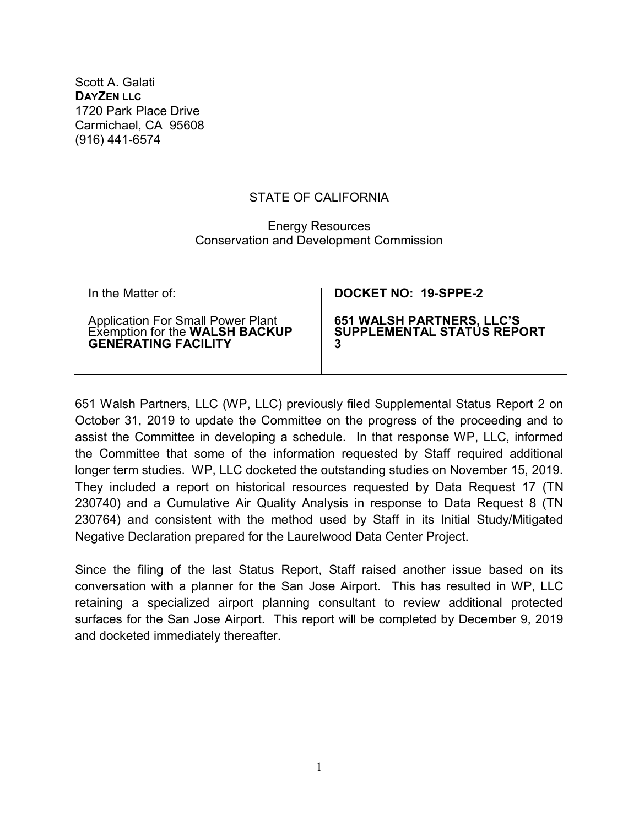Scott A. Galati **DAYZEN LLC** 1720 Park Place Drive Carmichael, CA 95608 (916) 441-6574

## STATE OF CALIFORNIA

## Energy Resources Conservation and Development Commission

| In the Matter of:                                                                                 | DOCKET NO: 19-SPPE-2                                                |
|---------------------------------------------------------------------------------------------------|---------------------------------------------------------------------|
| Application For Small Power Plant<br>Exemption for the WALSH BACKUP<br><b>GENERATING FACILITY</b> | <b>651 WALSH PARTNERS, LLC'S</b><br>SUPPLEMENTAL STATÚS REPORT<br>3 |

651 Walsh Partners, LLC (WP, LLC) previously filed Supplemental Status Report 2 on October 31, 2019 to update the Committee on the progress of the proceeding and to assist the Committee in developing a schedule. In that response WP, LLC, informed the Committee that some of the information requested by Staff required additional longer term studies. WP, LLC docketed the outstanding studies on November 15, 2019. They included a report on historical resources requested by Data Request 17 (TN 230740) and a Cumulative Air Quality Analysis in response to Data Request 8 (TN 230764) and consistent with the method used by Staff in its Initial Study/Mitigated Negative Declaration prepared for the Laurelwood Data Center Project.

Since the filing of the last Status Report, Staff raised another issue based on its conversation with a planner for the San Jose Airport. This has resulted in WP, LLC retaining a specialized airport planning consultant to review additional protected surfaces for the San Jose Airport. This report will be completed by December 9, 2019 and docketed immediately thereafter.